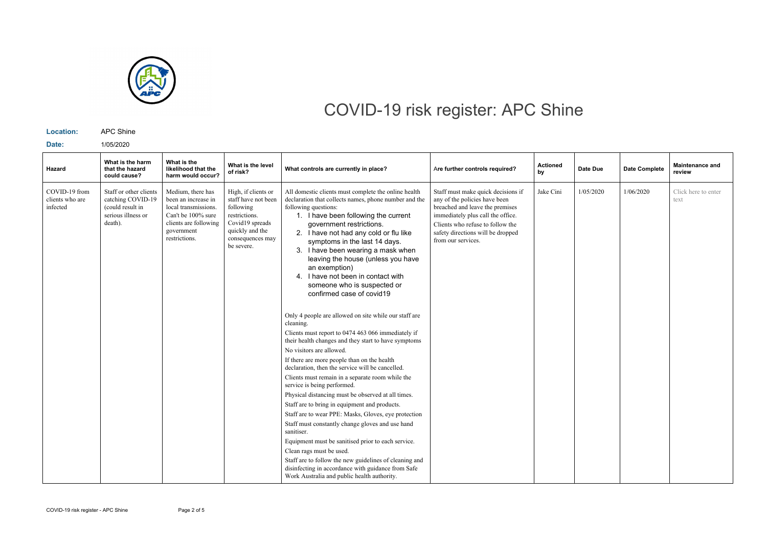## COVID-19 risk register: APC Shine

**Date:** 1/05/2020 **Hazard What is the harm that the hazard could cause? What is the likelihood that the harm would occur? What is the level of What controls are currently in place?** Are further controls required? Actioned COVID-19 from clients who are infected Staff or other clients catching COVID-19 (could result in serious illness or death). Medium, there has been an increase in local transmissions. Can't be 100% sure clients are following government restrictions. High, if clients or staff have not been following restrictions. Covid19 spreads quickly and the consequences may be severe. All domestic clients must complete the online health declaration that collects names, phone number and the following questions: 1. I have been following the current government restrictions. 2. I have not had any cold or flu like symptoms in the last 14 days. 3. I have been wearing a mask when leaving the house (unless you have an exemption) 4. I have not been in contact with someone who is suspected or confirmed case of covid19 Only 4 people are allowed on site while our staff are cleaning. Clients must report to 0474 463 066 immediately if their health changes and they start to have symptoms No visitors are allowed. If there are more people than on the health declaration, then the service will be cancelled. Clients must remain in a separate room while the service is being performed. Physical distancing must be observed at all times. Staff are to bring in equipment and products. Staff are to wear PPE: Masks, Gloves, eye protection Staff must constantly change gloves and use hand sanitiser. Equipment must be sanitised prior to each service. Clean rags must be used. Staff are to follow the new guidelines of cleaning and disinfecting in accordance with guidance from Safe Work Australia and public health authority. Staff must make quick decisions if any of the policies have been breached and leave the premises immediately plus call the office. Clients who refuse to follow the safety directions will be dropped from our services. Jake Cini



**Location:** APC Shine

| <b>Actioned</b><br>by | Date Due  | Date Complete | <b>Maintenance and</b><br>review |
|-----------------------|-----------|---------------|----------------------------------|
| Jake Cini             | 1/05/2020 | 1/06/2020     | Click here to enter<br>text      |
|                       |           |               |                                  |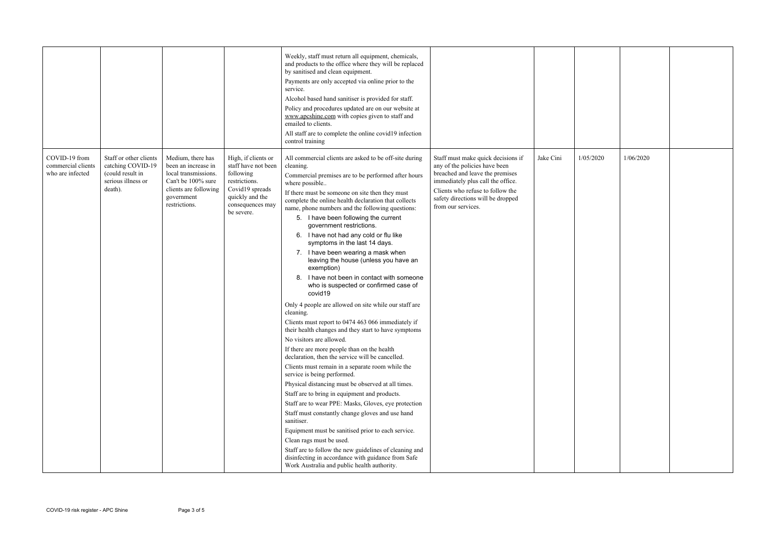|                                                         |                                                                                                  |                                                                                                                                                |                                                                                                                                                  | Weekly, staff must return all equipment, chemicals,<br>and products to the office where they will be replaced<br>by sanitised and clean equipment.<br>Payments are only accepted via online prior to the<br>service.<br>Alcohol based hand sanitiser is provided for staff.<br>Policy and procedures updated are on our website at<br>www.apcshine.com with copies given to staff and<br>emailed to clients.<br>All staff are to complete the online covid19 infection<br>control training                                                                                                                                                                                                                                                                                                                                                                                                                                                                                                                                                                                                                                                                                                                                                                                                                                                                                                                                                                                                                                                              |                                                                                                                                                                                                                                            |           |           |           |  |
|---------------------------------------------------------|--------------------------------------------------------------------------------------------------|------------------------------------------------------------------------------------------------------------------------------------------------|--------------------------------------------------------------------------------------------------------------------------------------------------|---------------------------------------------------------------------------------------------------------------------------------------------------------------------------------------------------------------------------------------------------------------------------------------------------------------------------------------------------------------------------------------------------------------------------------------------------------------------------------------------------------------------------------------------------------------------------------------------------------------------------------------------------------------------------------------------------------------------------------------------------------------------------------------------------------------------------------------------------------------------------------------------------------------------------------------------------------------------------------------------------------------------------------------------------------------------------------------------------------------------------------------------------------------------------------------------------------------------------------------------------------------------------------------------------------------------------------------------------------------------------------------------------------------------------------------------------------------------------------------------------------------------------------------------------------|--------------------------------------------------------------------------------------------------------------------------------------------------------------------------------------------------------------------------------------------|-----------|-----------|-----------|--|
| COVID-19 from<br>commercial clients<br>who are infected | Staff or other clients<br>catching COVID-19<br>(could result in<br>serious illness or<br>death). | Medium, there has<br>been an increase in<br>local transmissions.<br>Can't be 100% sure<br>clients are following<br>government<br>restrictions. | High, if clients or<br>staff have not been<br>following<br>restrictions.<br>Covid19 spreads<br>quickly and the<br>consequences may<br>be severe. | All commercial clients are asked to be off-site during<br>cleaning.<br>Commercial premises are to be performed after hours<br>where possible<br>If there must be someone on site then they must<br>complete the online health declaration that collects<br>name, phone numbers and the following questions:<br>5. I have been following the current<br>government restrictions.<br>I have not had any cold or flu like<br>6.<br>symptoms in the last 14 days.<br>7. I have been wearing a mask when<br>leaving the house (unless you have an<br>exemption)<br>I have not been in contact with someone<br>8.<br>who is suspected or confirmed case of<br>covid19<br>Only 4 people are allowed on site while our staff are<br>cleaning.<br>Clients must report to 0474 463 066 immediately if<br>their health changes and they start to have symptoms<br>No visitors are allowed.<br>If there are more people than on the health<br>declaration, then the service will be cancelled.<br>Clients must remain in a separate room while the<br>service is being performed.<br>Physical distancing must be observed at all times.<br>Staff are to bring in equipment and products.<br>Staff are to wear PPE: Masks, Gloves, eye protection<br>Staff must constantly change gloves and use hand<br>sanitiser.<br>Equipment must be sanitised prior to each service.<br>Clean rags must be used.<br>Staff are to follow the new guidelines of cleaning and<br>disinfecting in accordance with guidance from Safe<br>Work Australia and public health authority. | Staff must make quick decisions if<br>any of the policies have been<br>breached and leave the premises<br>immediately plus call the office.<br>Clients who refuse to follow the<br>safety directions will be dropped<br>from our services. | Jake Cini | 1/05/2020 | 1/06/2020 |  |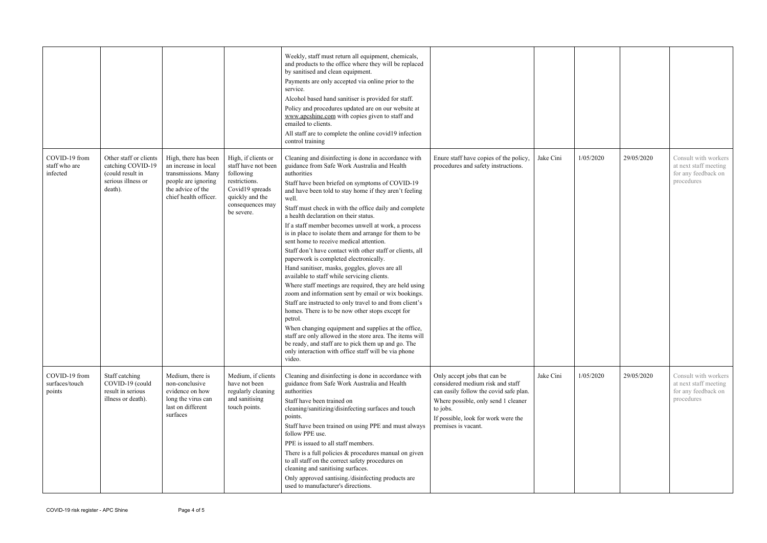|                                            |                                                                                                  |                                                                                                                                          |                                                                                                                                                  | Weekly, staff must return all equipment, chemicals,<br>and products to the office where they will be replaced<br>by sanitised and clean equipment.<br>Payments are only accepted via online prior to the<br>service.<br>Alcohol based hand sanitiser is provided for staff.<br>Policy and procedures updated are on our website at<br>www.apcshine.com with copies given to staff and<br>emailed to clients.<br>All staff are to complete the online covid19 infection<br>control training                                                                                                                                                                                                                                                                                                                                                                                                                                                                                                                                                                                                                                                                                                               |                                                                                                                                                                                                                             |           |           |            |                                                                                    |
|--------------------------------------------|--------------------------------------------------------------------------------------------------|------------------------------------------------------------------------------------------------------------------------------------------|--------------------------------------------------------------------------------------------------------------------------------------------------|----------------------------------------------------------------------------------------------------------------------------------------------------------------------------------------------------------------------------------------------------------------------------------------------------------------------------------------------------------------------------------------------------------------------------------------------------------------------------------------------------------------------------------------------------------------------------------------------------------------------------------------------------------------------------------------------------------------------------------------------------------------------------------------------------------------------------------------------------------------------------------------------------------------------------------------------------------------------------------------------------------------------------------------------------------------------------------------------------------------------------------------------------------------------------------------------------------|-----------------------------------------------------------------------------------------------------------------------------------------------------------------------------------------------------------------------------|-----------|-----------|------------|------------------------------------------------------------------------------------|
| COVID-19 from<br>staff who are<br>infected | Other staff or clients<br>catching COVID-19<br>(could result in<br>serious illness or<br>death). | High, there has been<br>an increase in local<br>transmissions. Many<br>people are ignoring<br>the advice of the<br>chief health officer. | High, if clients or<br>staff have not been<br>following<br>restrictions.<br>Covid19 spreads<br>quickly and the<br>consequences may<br>be severe. | Cleaning and disinfecting is done in accordance with<br>guidance from Safe Work Australia and Health<br>authorities<br>Staff have been briefed on symptoms of COVID-19<br>and have been told to stay home if they aren't feeling<br>well.<br>Staff must check in with the office daily and complete<br>a health declaration on their status.<br>If a staff member becomes unwell at work, a process<br>is in place to isolate them and arrange for them to be<br>sent home to receive medical attention.<br>Staff don't have contact with other staff or clients, all<br>paperwork is completed electronically.<br>Hand sanitiser, masks, goggles, gloves are all<br>available to staff while servicing clients.<br>Where staff meetings are required, they are held using<br>zoom and information sent by email or wix bookings.<br>Staff are instructed to only travel to and from client's<br>homes. There is to be now other stops except for<br>petrol.<br>When changing equipment and supplies at the office,<br>staff are only allowed in the store area. The items will<br>be ready, and staff are to pick them up and go. The<br>only interaction with office staff will be via phone<br>video. | Enure staff have copies of the policy,<br>procedures and safety instructions.                                                                                                                                               | Jake Cini | 1/05/2020 | 29/05/2020 | Consult with workers<br>at next staff meeting<br>for any feedback on<br>procedures |
| COVID-19 from<br>surfaces/touch<br>points  | Staff catching<br>COVID-19 (could<br>result in serious<br>illness or death).                     | Medium, there is<br>non-conclusive<br>evidence on how<br>long the virus can<br>last on different<br>surfaces                             | Medium, if clients<br>have not been<br>regularly cleaning<br>and sanitising<br>touch points.                                                     | Cleaning and disinfecting is done in accordance with<br>guidance from Safe Work Australia and Health<br>authorities<br>Staff have been trained on<br>cleaning/sanitizing/disinfecting surfaces and touch<br>points.<br>Staff have been trained on using PPE and must always<br>follow PPE use.<br>PPE is issued to all staff members.<br>There is a full policies $\&$ procedures manual on given<br>to all staff on the correct safety procedures on<br>cleaning and sanitising surfaces.<br>Only approved santising./disinfecting products are<br>used to manufacturer's directions.                                                                                                                                                                                                                                                                                                                                                                                                                                                                                                                                                                                                                   | Only accept jobs that can be<br>considered medium risk and staff<br>can easily follow the covid safe plan.<br>Where possible, only send 1 cleaner<br>to jobs.<br>If possible, look for work were the<br>premises is vacant. | Jake Cini | 1/05/2020 | 29/05/2020 | Consult with workers<br>at next staff meeting<br>for any feedback on<br>procedures |